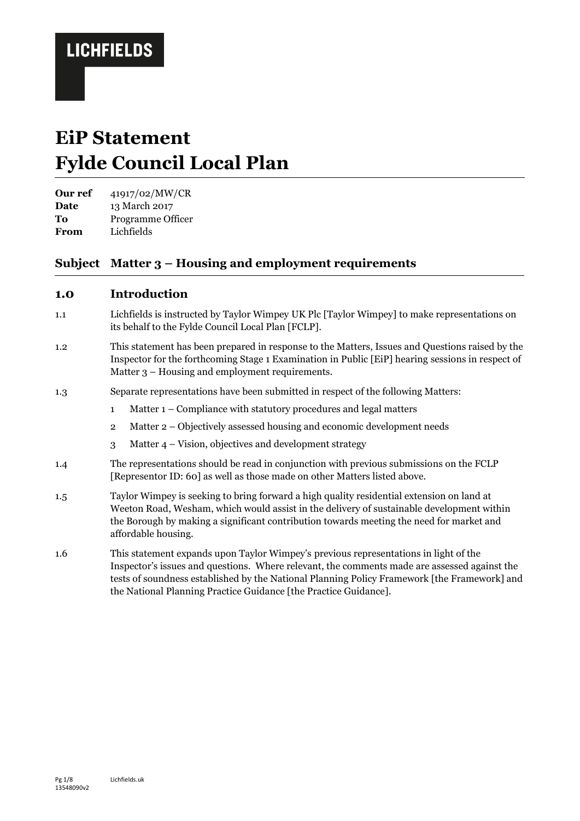# **EiP Statement Fylde Council Local Plan**

**Our ref** 41917/02/MW/CR

**Date** 13 March 2017

**To** Programme Officer **From** Lichfields

### **Subject Matter 3 – Housing and employment requirements**

### **1.0 Introduction**

- 1.1 Lichfields is instructed by Taylor Wimpey UK Plc [Taylor Wimpey] to make representations on its behalf to the Fylde Council Local Plan [FCLP].
- 1.2 This statement has been prepared in response to the Matters, Issues and Questions raised by the Inspector for the forthcoming Stage 1 Examination in Public [EiP] hearing sessions in respect of Matter 3 – Housing and employment requirements.
- 1.3 Separate representations have been submitted in respect of the following Matters:
	- 1 Matter 1 Compliance with statutory procedures and legal matters
	- 2 Matter 2 Objectively assessed housing and economic development needs
	- 3 Matter 4 Vision, objectives and development strategy
- 1.4 The representations should be read in conjunction with previous submissions on the FCLP [Representor ID: 60] as well as those made on other Matters listed above.
- 1.5 Taylor Wimpey is seeking to bring forward a high quality residential extension on land at Weeton Road, Wesham, which would assist in the delivery of sustainable development within the Borough by making a significant contribution towards meeting the need for market and affordable housing.
- 1.6 This statement expands upon Taylor Wimpey's previous representations in light of the Inspector's issues and questions. Where relevant, the comments made are assessed against the tests of soundness established by the National Planning Policy Framework [the Framework] and the National Planning Practice Guidance [the Practice Guidance].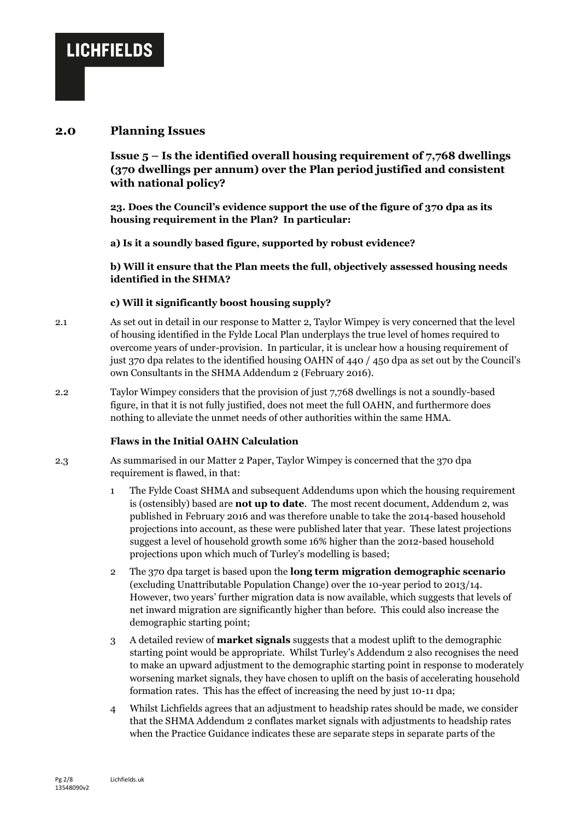#### **2.0 Planning Issues**

**Issue 5 – Is the identified overall housing requirement of 7,768 dwellings (370 dwellings per annum) over the Plan period justified and consistent with national policy?**

**23. Does the Council's evidence support the use of the figure of 370 dpa as its housing requirement in the Plan? In particular:**

**a) Is it a soundly based figure, supported by robust evidence?**

**b) Will it ensure that the Plan meets the full, objectively assessed housing needs identified in the SHMA?**

#### **c) Will it significantly boost housing supply?**

- 2.1 As set out in detail in our response to Matter 2, Taylor Wimpey is very concerned that the level of housing identified in the Fylde Local Plan underplays the true level of homes required to overcome years of under-provision. In particular, it is unclear how a housing requirement of just 370 dpa relates to the identified housing OAHN of 440 / 450 dpa as set out by the Council's own Consultants in the SHMA Addendum 2 (February 2016).
- 2.2 Taylor Wimpey considers that the provision of just 7,768 dwellings is not a soundly-based figure, in that it is not fully justified, does not meet the full OAHN, and furthermore does nothing to alleviate the unmet needs of other authorities within the same HMA.

#### **Flaws in the Initial OAHN Calculation**

- 2.3 As summarised in our Matter 2 Paper, Taylor Wimpey is concerned that the 370 dpa requirement is flawed, in that:
	- 1 The Fylde Coast SHMA and subsequent Addendums upon which the housing requirement is (ostensibly) based are **not up to date**. The most recent document, Addendum 2, was published in February 2016 and was therefore unable to take the 2014-based household projections into account, as these were published later that year. These latest projections suggest a level of household growth some 16% higher than the 2012-based household projections upon which much of Turley's modelling is based;
	- 2 The 370 dpa target is based upon the **long term migration demographic scenario** (excluding Unattributable Population Change) over the 10-year period to 2013/14. However, two years' further migration data is now available, which suggests that levels of net inward migration are significantly higher than before. This could also increase the demographic starting point;
	- 3 A detailed review of **market signals** suggests that a modest uplift to the demographic starting point would be appropriate. Whilst Turley's Addendum 2 also recognises the need to make an upward adjustment to the demographic starting point in response to moderately worsening market signals, they have chosen to uplift on the basis of accelerating household formation rates. This has the effect of increasing the need by just 10-11 dpa;
	- 4 Whilst Lichfields agrees that an adjustment to headship rates should be made, we consider that the SHMA Addendum 2 conflates market signals with adjustments to headship rates when the Practice Guidance indicates these are separate steps in separate parts of the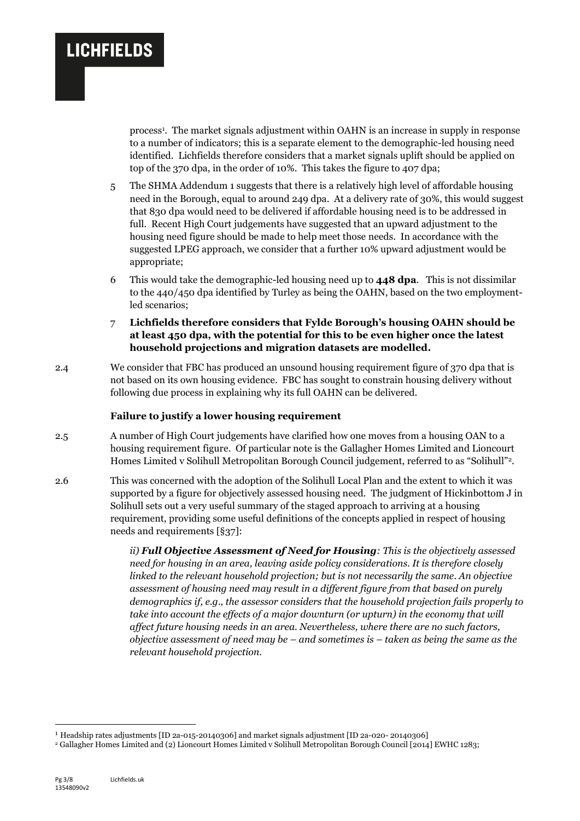process<sup>1</sup> . The market signals adjustment within OAHN is an increase in supply in response to a number of indicators; this is a separate element to the demographic-led housing need identified. Lichfields therefore considers that a market signals uplift should be applied on top of the 370 dpa, in the order of 10%. This takes the figure to 407 dpa;

- 5 The SHMA Addendum 1 suggests that there is a relatively high level of affordable housing need in the Borough, equal to around 249 dpa. At a delivery rate of 30%, this would suggest that 830 dpa would need to be delivered if affordable housing need is to be addressed in full. Recent High Court judgements have suggested that an upward adjustment to the housing need figure should be made to help meet those needs. In accordance with the suggested LPEG approach, we consider that a further 10% upward adjustment would be appropriate;
- 6 This would take the demographic-led housing need up to **448 dpa**. This is not dissimilar to the 440/450 dpa identified by Turley as being the OAHN, based on the two employmentled scenarios;
- 7 **Lichfields therefore considers that Fylde Borough's housing OAHN should be at least 450 dpa, with the potential for this to be even higher once the latest household projections and migration datasets are modelled.**
- 2.4 We consider that FBC has produced an unsound housing requirement figure of 370 dpa that is not based on its own housing evidence. FBC has sought to constrain housing delivery without following due process in explaining why its full OAHN can be delivered.

#### **Failure to justify a lower housing requirement**

- 2.5 A number of High Court judgements have clarified how one moves from a housing OAN to a housing requirement figure. Of particular note is the Gallagher Homes Limited and Lioncourt Homes Limited v Solihull Metropolitan Borough Council judgement, referred to as "Solihull"2.
- 2.6 This was concerned with the adoption of the Solihull Local Plan and the extent to which it was supported by a figure for objectively assessed housing need. The judgment of Hickinbottom J in Solihull sets out a very useful summary of the staged approach to arriving at a housing requirement, providing some useful definitions of the concepts applied in respect of housing needs and requirements [§37]:

*ii) Full Objective Assessment of Need for Housing: This is the objectively assessed need for housing in an area, leaving aside policy considerations. It is therefore closely linked to the relevant household projection; but is not necessarily the same. An objective assessment of housing need may result in a different figure from that based on purely demographics if, e.g., the assessor considers that the household projection fails properly to take into account the effects of a major downturn (or upturn) in the economy that will affect future housing needs in an area. Nevertheless, where there are no such factors, objective assessment of need may be – and sometimes is – taken as being the same as the relevant household projection.* 

1

<sup>1</sup> Headship rates adjustments [ID 2a-015-20140306] and market signals adjustment [ID 2a-020- 20140306]

<sup>2</sup> Gallagher Homes Limited and (2) Lioncourt Homes Limited v Solihull Metropolitan Borough Council [2014] EWHC 1283;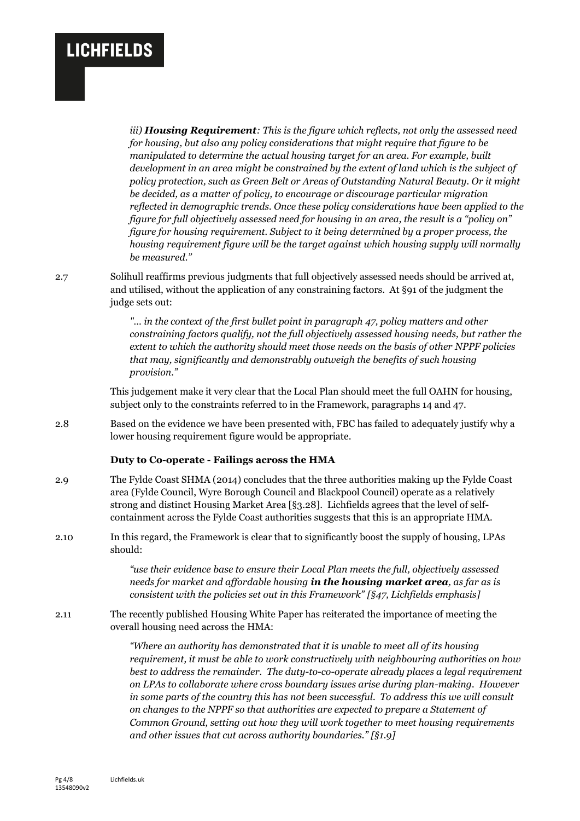*iii) Housing Requirement: This is the figure which reflects, not only the assessed need for housing, but also any policy considerations that might require that figure to be manipulated to determine the actual housing target for an area. For example, built development in an area might be constrained by the extent of land which is the subject of policy protection, such as Green Belt or Areas of Outstanding Natural Beauty. Or it might be decided, as a matter of policy, to encourage or discourage particular migration reflected in demographic trends. Once these policy considerations have been applied to the figure for full objectively assessed need for housing in an area, the result is a "policy on" figure for housing requirement. Subject to it being determined by a proper process, the housing requirement figure will be the target against which housing supply will normally be measured."*

2.7 Solihull reaffirms previous judgments that full objectively assessed needs should be arrived at, and utilised, without the application of any constraining factors. At §91 of the judgment the judge sets out:

> *"… in the context of the first bullet point in paragraph 47, policy matters and other constraining factors qualify, not the full objectively assessed housing needs, but rather the extent to which the authority should meet those needs on the basis of other NPPF policies that may, significantly and demonstrably outweigh the benefits of such housing provision."*

This judgement make it very clear that the Local Plan should meet the full OAHN for housing, subject only to the constraints referred to in the Framework, paragraphs 14 and 47.

2.8 Based on the evidence we have been presented with, FBC has failed to adequately justify why a lower housing requirement figure would be appropriate.

#### **Duty to Co-operate - Failings across the HMA**

- 2.9 The Fylde Coast SHMA (2014) concludes that the three authorities making up the Fylde Coast area (Fylde Council, Wyre Borough Council and Blackpool Council) operate as a relatively strong and distinct Housing Market Area [§3.28]. Lichfields agrees that the level of selfcontainment across the Fylde Coast authorities suggests that this is an appropriate HMA.
- 2.10 In this regard, the Framework is clear that to significantly boost the supply of housing, LPAs should:

*"use their evidence base to ensure their Local Plan meets the full, objectively assessed needs for market and affordable housing in the housing market area, as far as is consistent with the policies set out in this Framework" [§47, Lichfields emphasis]*

2.11 The recently published Housing White Paper has reiterated the importance of meeting the overall housing need across the HMA:

> *"Where an authority has demonstrated that it is unable to meet all of its housing requirement, it must be able to work constructively with neighbouring authorities on how best to address the remainder. The duty-to-co-operate already places a legal requirement on LPAs to collaborate where cross boundary issues arise during plan-making. However in some parts of the country this has not been successful. To address this we will consult on changes to the NPPF so that authorities are expected to prepare a Statement of Common Ground, setting out how they will work together to meet housing requirements and other issues that cut across authority boundaries." [§1.9]*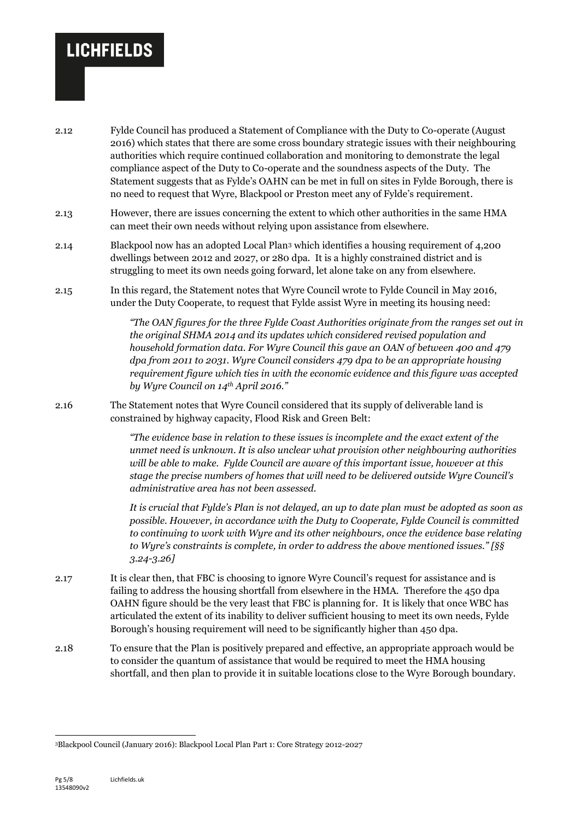- 2.12 Fylde Council has produced a Statement of Compliance with the Duty to Co-operate (August 2016) which states that there are some cross boundary strategic issues with their neighbouring authorities which require continued collaboration and monitoring to demonstrate the legal compliance aspect of the Duty to Co-operate and the soundness aspects of the Duty. The Statement suggests that as Fylde's OAHN can be met in full on sites in Fylde Borough, there is no need to request that Wyre, Blackpool or Preston meet any of Fylde's requirement.
- 2.13 However, there are issues concerning the extent to which other authorities in the same HMA can meet their own needs without relying upon assistance from elsewhere.
- 2.14 Blackpool now has an adopted Local Plan<sup>3</sup> which identifies a housing requirement of 4,200 dwellings between 2012 and 2027, or 280 dpa. It is a highly constrained district and is struggling to meet its own needs going forward, let alone take on any from elsewhere.
- 2.15 In this regard, the Statement notes that Wyre Council wrote to Fylde Council in May 2016, under the Duty Cooperate, to request that Fylde assist Wyre in meeting its housing need:

*"The OAN figures for the three Fylde Coast Authorities originate from the ranges set out in the original SHMA 2014 and its updates which considered revised population and household formation data. For Wyre Council this gave an OAN of between 400 and 479 dpa from 2011 to 2031. Wyre Council considers 479 dpa to be an appropriate housing requirement figure which ties in with the economic evidence and this figure was accepted by Wyre Council on 14th April 2016."*

2.16 The Statement notes that Wyre Council considered that its supply of deliverable land is constrained by highway capacity, Flood Risk and Green Belt:

> *"The evidence base in relation to these issues is incomplete and the exact extent of the unmet need is unknown. It is also unclear what provision other neighbouring authorities will be able to make. Fylde Council are aware of this important issue, however at this stage the precise numbers of homes that will need to be delivered outside Wyre Council's administrative area has not been assessed.*

*It is crucial that Fylde's Plan is not delayed, an up to date plan must be adopted as soon as possible. However, in accordance with the Duty to Cooperate, Fylde Council is committed to continuing to work with Wyre and its other neighbours, once the evidence base relating to Wyre's constraints is complete, in order to address the above mentioned issues." [§§ 3.24-3.26]*

- 2.17 It is clear then, that FBC is choosing to ignore Wyre Council's request for assistance and is failing to address the housing shortfall from elsewhere in the HMA. Therefore the 450 dpa OAHN figure should be the very least that FBC is planning for. It is likely that once WBC has articulated the extent of its inability to deliver sufficient housing to meet its own needs, Fylde Borough's housing requirement will need to be significantly higher than 450 dpa.
- 2.18 To ensure that the Plan is positively prepared and effective, an appropriate approach would be to consider the quantum of assistance that would be required to meet the HMA housing shortfall, and then plan to provide it in suitable locations close to the Wyre Borough boundary.

-

<sup>3</sup>Blackpool Council (January 2016): Blackpool Local Plan Part 1: Core Strategy 2012-2027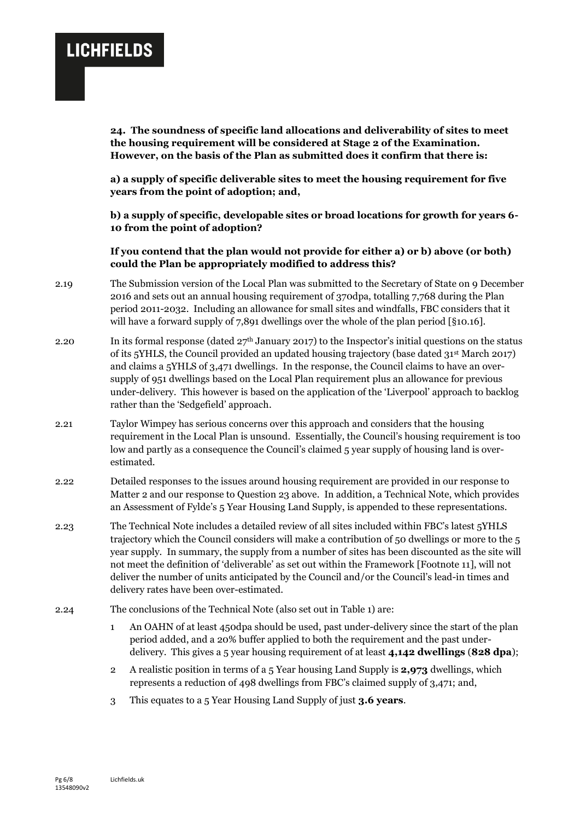**24. The soundness of specific land allocations and deliverability of sites to meet the housing requirement will be considered at Stage 2 of the Examination. However, on the basis of the Plan as submitted does it confirm that there is:**

**a) a supply of specific deliverable sites to meet the housing requirement for five years from the point of adoption; and,**

**b) a supply of specific, developable sites or broad locations for growth for years 6- 10 from the point of adoption?**

**If you contend that the plan would not provide for either a) or b) above (or both) could the Plan be appropriately modified to address this?**

- 2.19 The Submission version of the Local Plan was submitted to the Secretary of State on 9 December 2016 and sets out an annual housing requirement of 370dpa, totalling 7,768 during the Plan period 2011-2032. Including an allowance for small sites and windfalls, FBC considers that it will have a forward supply of 7,891 dwellings over the whole of the plan period [§10.16].
- 2.20 In its formal response (dated  $27<sup>th</sup>$  January 2017) to the Inspector's initial questions on the status of its 5YHLS, the Council provided an updated housing trajectory (base dated  $31^{st}$  March 2017) and claims a 5YHLS of 3,471 dwellings. In the response, the Council claims to have an oversupply of 951 dwellings based on the Local Plan requirement plus an allowance for previous under-delivery. This however is based on the application of the 'Liverpool' approach to backlog rather than the 'Sedgefield' approach.
- 2.21 Taylor Wimpey has serious concerns over this approach and considers that the housing requirement in the Local Plan is unsound. Essentially, the Council's housing requirement is too low and partly as a consequence the Council's claimed 5 year supply of housing land is overestimated.
- 2.22 Detailed responses to the issues around housing requirement are provided in our response to Matter 2 and our response to Question 23 above. In addition, a Technical Note, which provides an Assessment of Fylde's 5 Year Housing Land Supply, is appended to these representations.
- 2.23 The Technical Note includes a detailed review of all sites included within FBC's latest 5YHLS trajectory which the Council considers will make a contribution of 50 dwellings or more to the 5 year supply. In summary, the supply from a number of sites has been discounted as the site will not meet the definition of 'deliverable' as set out within the Framework [Footnote 11], will not deliver the number of units anticipated by the Council and/or the Council's lead-in times and delivery rates have been over-estimated.
- 2.24 The conclusions of the Technical Note (also set out in Table 1) are:
	- 1 An OAHN of at least 450dpa should be used, past under-delivery since the start of the plan period added, and a 20% buffer applied to both the requirement and the past underdelivery. This gives a 5 year housing requirement of at least **4,142 dwellings** (**828 dpa**);
	- 2 A realistic position in terms of a 5 Year housing Land Supply is **2,973** dwellings, which represents a reduction of 498 dwellings from FBC's claimed supply of 3,471; and,
	- 3 This equates to a 5 Year Housing Land Supply of just **3.6 years**.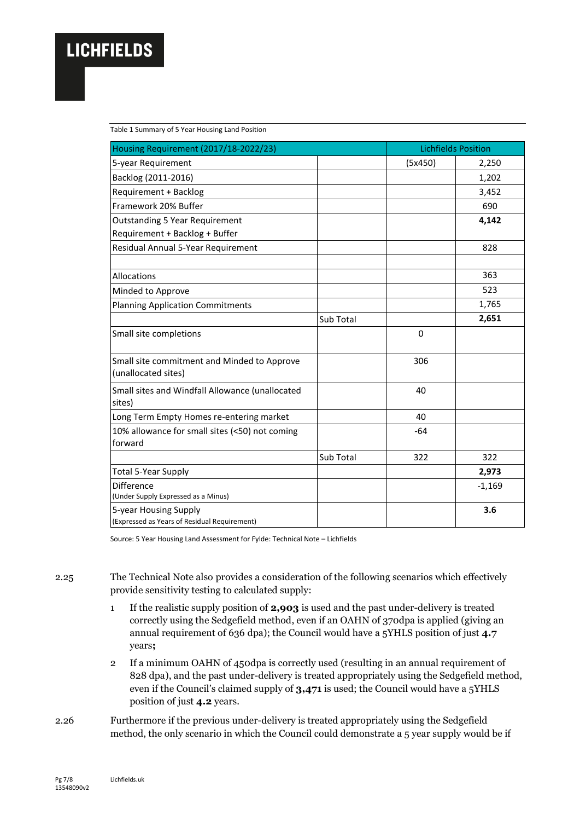Table 1 Summary of 5 Year Housing Land Position

| Housing Requirement (2017/18-2022/23)                                   |           | <b>Lichfields Position</b> |          |
|-------------------------------------------------------------------------|-----------|----------------------------|----------|
| 5-year Requirement                                                      |           | (5x450)                    | 2,250    |
| Backlog (2011-2016)                                                     |           |                            | 1,202    |
| Requirement + Backlog                                                   |           |                            | 3,452    |
| Framework 20% Buffer                                                    |           |                            | 690      |
| <b>Outstanding 5 Year Requirement</b><br>Requirement + Backlog + Buffer |           |                            | 4,142    |
| Residual Annual 5-Year Requirement                                      |           |                            | 828      |
| Allocations                                                             |           |                            | 363      |
| Minded to Approve                                                       |           |                            | 523      |
| <b>Planning Application Commitments</b>                                 |           |                            | 1,765    |
|                                                                         | Sub Total |                            | 2,651    |
| Small site completions                                                  |           | $\Omega$                   |          |
| Small site commitment and Minded to Approve<br>(unallocated sites)      |           | 306                        |          |
| Small sites and Windfall Allowance (unallocated<br>sites)               |           | 40                         |          |
| Long Term Empty Homes re-entering market                                |           | 40                         |          |
| 10% allowance for small sites (<50) not coming<br>forward               |           | $-64$                      |          |
|                                                                         | Sub Total | 322                        | 322      |
| <b>Total 5-Year Supply</b>                                              |           |                            | 2,973    |
| Difference<br>(Under Supply Expressed as a Minus)                       |           |                            | $-1,169$ |
| 5-year Housing Supply<br>(Expressed as Years of Residual Requirement)   |           |                            | 3.6      |

Source: 5 Year Housing Land Assessment for Fylde: Technical Note – Lichfields

2.25 The Technical Note also provides a consideration of the following scenarios which effectively provide sensitivity testing to calculated supply:

- 1 If the realistic supply position of **2,903** is used and the past under-delivery is treated correctly using the Sedgefield method, even if an OAHN of 370dpa is applied (giving an annual requirement of 636 dpa); the Council would have a 5YHLS position of just **4.7** years**;**
- 2 If a minimum OAHN of 450dpa is correctly used (resulting in an annual requirement of 828 dpa), and the past under-delivery is treated appropriately using the Sedgefield method, even if the Council's claimed supply of **3,471** is used; the Council would have a 5YHLS position of just **4.2** years.
- 2.26 Furthermore if the previous under-delivery is treated appropriately using the Sedgefield method, the only scenario in which the Council could demonstrate a 5 year supply would be if